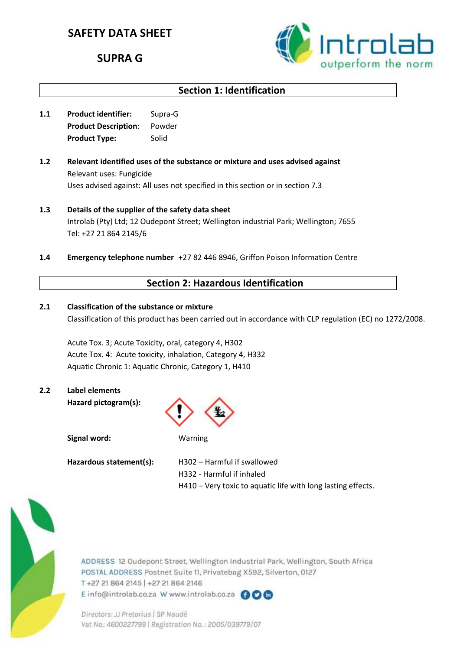# **SAFETY DATA SHEET**

# **SUPRA G**



# **Section 1: Identification**

- **1.1 Product identifier:** Supra-G **Product Description**: Powder **Product Type:** Solid
- **1.2 Relevant identified uses of the substance or mixture and uses advised against** Relevant uses: Fungicide Uses advised against: All uses not specified in this section or in section 7.3
- **1.3 Details of the supplier of the safety data sheet** Introlab (Pty) Ltd; 12 Oudepont Street; Wellington industrial Park; Wellington; 7655 Tel: +27 21 864 2145/6
- **1.4 Emergency telephone number** +27 82 446 8946, Griffon Poison Information Centre

### **Section 2: Hazardous Identification**

**2.1 Classification of the substance or mixture** Classification of this product has been carried out in accordance with CLP regulation (EC) no 1272/2008.

Acute Tox. 3; Acute Toxicity, oral, category 4, H302 Acute Tox. 4: Acute toxicity, inhalation, Category 4, H332 Aquatic Chronic 1: Aquatic Chronic, Category 1, H410

# **2.2 Label elements**

**Hazard pictogram(s):**



**Signal word:** Warning

Hazardous statement(s): H302 – Harmful if swallowed H332 - Harmful if inhaled H410 – Very toxic to aquatic life with long lasting effects.



ADDRESS 12 Oudepont Street, Wellington Industrial Park, Wellington, South Africa POSTAL ADDRESS Postnet Suite 11, Privatebag X592, Silverton, 0127 T+27 21 864 2145 | +27 21 864 2146 E info@introlab.co.za W www.introlab.co.za @OG

Directors: JJ Pretorius | SP Naudé Vat No.: 4600227799 | Registration No.: 2005/039779/07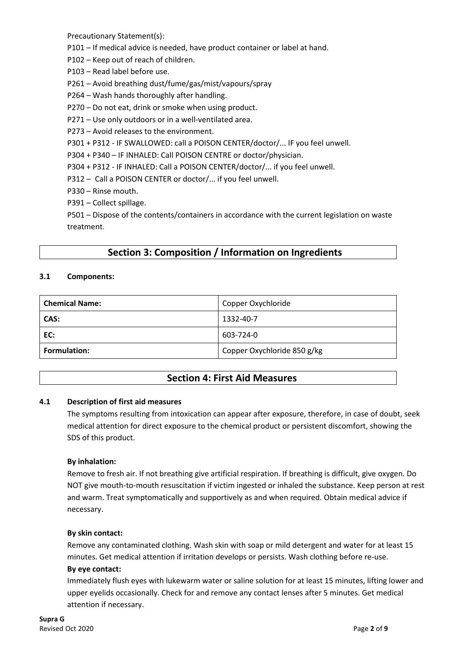Precautionary Statement(s):

P101 – If medical advice is needed, have product container or label at hand.

- P102 Keep out of reach of children.
- P103 Read label before use.
- P261 Avoid breathing dust/fume/gas/mist/vapours/spray
- P264 Wash hands thoroughly after handling.
- P270 Do not eat, drink or smoke when using product.
- P271 Use only outdoors or in a well-ventilated area.
- P273 Avoid releases to the environment.
- P301 + P312 IF SWALLOWED: call a POISON CENTER/doctor/... IF you feel unwell.
- P304 + P340 IF INHALED: Call POISON CENTRE or doctor/physician.
- P304 + P312 IF INHALED: Call a POISON CENTER/doctor/... if you feel unwell.
- P312 Call a POISON CENTER or doctor/... if you feel unwell.
- P330 Rinse mouth.
- P391 Collect spillage.

P501 – Dispose of the contents/containers in accordance with the current legislation on waste treatment.

# **Section 3: Composition / Information on Ingredients**

#### **3.1 Components:**

| <b>Chemical Name:</b> | Copper Oxychloride          |
|-----------------------|-----------------------------|
| CAS:                  | 1332-40-7                   |
| EC:                   | 603-724-0                   |
| <b>Formulation:</b>   | Copper Oxychloride 850 g/kg |

# **Section 4: First Aid Measures**

#### **4.1 Description of first aid measures**

The symptoms resulting from intoxication can appear after exposure, therefore, in case of doubt, seek medical attention for direct exposure to the chemical product or persistent discomfort, showing the SDS of this product.

#### **By inhalation:**

Remove to fresh air. If not breathing give artificial respiration. If breathing is difficult, give oxygen. Do NOT give mouth-to-mouth resuscitation if victim ingested or inhaled the substance. Keep person at rest and warm. Treat symptomatically and supportively as and when required. Obtain medical advice if necessary.

#### **By skin contact:**

Remove any contaminated clothing. Wash skin with soap or mild detergent and water for at least 15 minutes. Get medical attention if irritation develops or persists. Wash clothing before re-use.

#### **By eye contact:**

Immediately flush eyes with lukewarm water or saline solution for at least 15 minutes, lifting lower and upper eyelids occasionally. Check for and remove any contact lenses after 5 minutes. Get medical attention if necessary.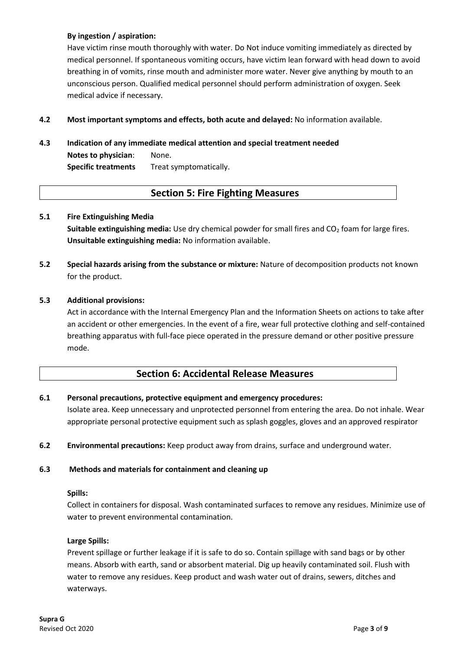### **By ingestion / aspiration:**

Have victim rinse mouth thoroughly with water. Do Not induce vomiting immediately as directed by medical personnel. If spontaneous vomiting occurs, have victim lean forward with head down to avoid breathing in of vomits, rinse mouth and administer more water. Never give anything by mouth to an unconscious person. Qualified medical personnel should perform administration of oxygen. Seek medical advice if necessary.

**4.2 Most important symptoms and effects, both acute and delayed:** No information available.

#### **4.3 Indication of any immediate medical attention and special treatment needed**

**Notes to physician**: None. **Specific treatments** Treat symptomatically.

### **Section 5: Fire Fighting Measures**

#### **5.1 Fire Extinguishing Media**

**Suitable extinguishing media:** Use dry chemical powder for small fires and CO<sub>2</sub> foam for large fires. **Unsuitable extinguishing media:** No information available.

**5.2 Special hazards arising from the substance or mixture:** Nature of decomposition products not known for the product.

#### **5.3 Additional provisions:**

Act in accordance with the Internal Emergency Plan and the Information Sheets on actions to take after an accident or other emergencies. In the event of a fire, wear full protective clothing and self-contained breathing apparatus with full-face piece operated in the pressure demand or other positive pressure mode.

### **Section 6: Accidental Release Measures**

#### **6.1 Personal precautions, protective equipment and emergency procedures:**

Isolate area. Keep unnecessary and unprotected personnel from entering the area. Do not inhale. Wear appropriate personal protective equipment such as splash goggles, gloves and an approved respirator

**6.2 Environmental precautions:** Keep product away from drains, surface and underground water.

#### **6.3 Methods and materials for containment and cleaning up**

#### **Spills:**

Collect in containers for disposal. Wash contaminated surfaces to remove any residues. Minimize use of water to prevent environmental contamination.

#### **Large Spills:**

Prevent spillage or further leakage if it is safe to do so. Contain spillage with sand bags or by other means. Absorb with earth, sand or absorbent material. Dig up heavily contaminated soil. Flush with water to remove any residues. Keep product and wash water out of drains, sewers, ditches and waterways.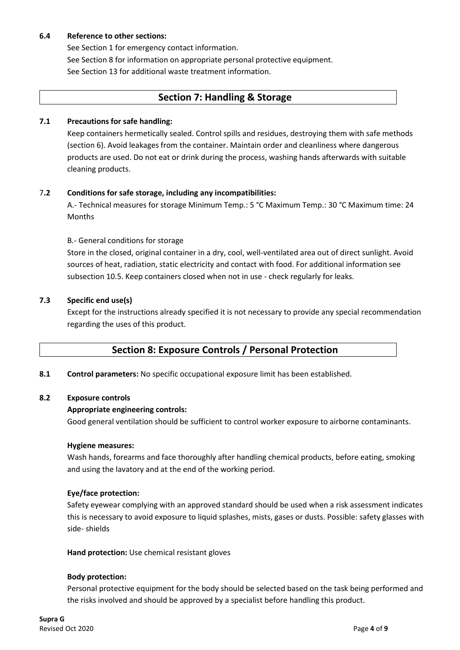#### **6.4 Reference to other sections:**

See Section 1 for emergency contact information.

See Section 8 for information on appropriate personal protective equipment. See Section 13 for additional waste treatment information.

### **Section 7: Handling & Storage**

#### **7.1 Precautions for safe handling:**

Keep containers hermetically sealed. Control spills and residues, destroying them with safe methods (section 6). Avoid leakages from the container. Maintain order and cleanliness where dangerous products are used. Do not eat or drink during the process, washing hands afterwards with suitable cleaning products.

#### 7**.2 Conditions for safe storage, including any incompatibilities:**

A.- Technical measures for storage Minimum Temp.: 5 °C Maximum Temp.: 30 °C Maximum time: 24 Months

#### B.- General conditions for storage

Store in the closed, original container in a dry, cool, well-ventilated area out of direct sunlight. Avoid sources of heat, radiation, static electricity and contact with food. For additional information see subsection 10.5. Keep containers closed when not in use - check regularly for leaks.

#### **7.3 Specific end use(s)**

Except for the instructions already specified it is not necessary to provide any special recommendation regarding the uses of this product.

# **Section 8: Exposure Controls / Personal Protection**

**8.1 Control parameters:** No specific occupational exposure limit has been established.

#### **8.2 Exposure controls**

#### **Appropriate engineering controls:**

Good general ventilation should be sufficient to control worker exposure to airborne contaminants.

#### **Hygiene measures:**

Wash hands, forearms and face thoroughly after handling chemical products, before eating, smoking and using the lavatory and at the end of the working period.

#### **Eye/face protection:**

Safety eyewear complying with an approved standard should be used when a risk assessment indicates this is necessary to avoid exposure to liquid splashes, mists, gases or dusts. Possible: safety glasses with side- shields

**Hand protection:** Use chemical resistant gloves

#### **Body protection:**

Personal protective equipment for the body should be selected based on the task being performed and the risks involved and should be approved by a specialist before handling this product.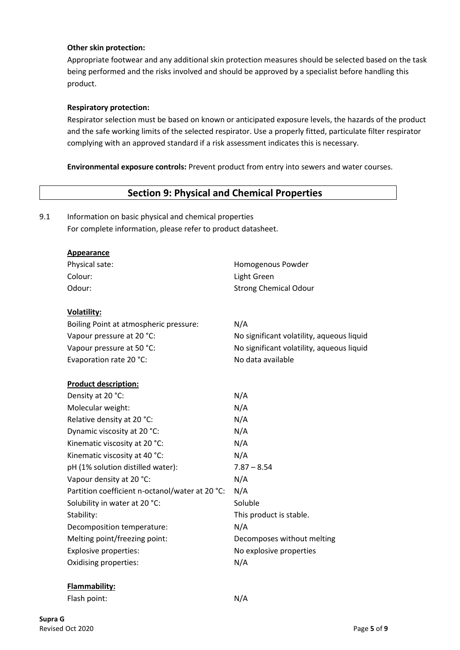#### **Other skin protection:**

Appropriate footwear and any additional skin protection measures should be selected based on the task being performed and the risks involved and should be approved by a specialist before handling this product.

#### **Respiratory protection:**

Respirator selection must be based on known or anticipated exposure levels, the hazards of the product and the safe working limits of the selected respirator. Use a properly fitted, particulate filter respirator complying with an approved standard if a risk assessment indicates this is necessary.

**Environmental exposure controls:** Prevent product from entry into sewers and water courses.

### **Section 9: Physical and Chemical Properties**

9.1 Information on basic physical and chemical properties

For complete information, please refer to product datasheet.

| Appearance |
|------------|
|------------|

| Physical sate: | Homogenous Powder            |
|----------------|------------------------------|
| Colour: .      | Light Green                  |
| Odour:         | <b>Strong Chemical Odour</b> |

#### **Volatility:**

| N/A                                       |
|-------------------------------------------|
| No significant volatility, aqueous liquid |
| No significant volatility, aqueous liquid |
| No data available                         |
|                                           |

#### **Product description:**

| Density at 20 °C:                               | N/A                        |
|-------------------------------------------------|----------------------------|
| Molecular weight:                               | N/A                        |
| Relative density at 20 °C:                      | N/A                        |
| Dynamic viscosity at 20 °C:                     | N/A                        |
| Kinematic viscosity at 20 °C:                   | N/A                        |
| Kinematic viscosity at 40 °C:                   | N/A                        |
| pH (1% solution distilled water):               | $7.87 - 8.54$              |
| Vapour density at 20 °C:                        | N/A                        |
| Partition coefficient n-octanol/water at 20 °C: | N/A                        |
| Solubility in water at 20 °C:                   | Soluble                    |
| Stability:                                      | This product is stable.    |
| Decomposition temperature:                      | N/A                        |
| Melting point/freezing point:                   | Decomposes without melting |
| <b>Explosive properties:</b>                    | No explosive properties    |
| Oxidising properties:                           | N/A                        |

#### **Flammability:**

Flash point: N/A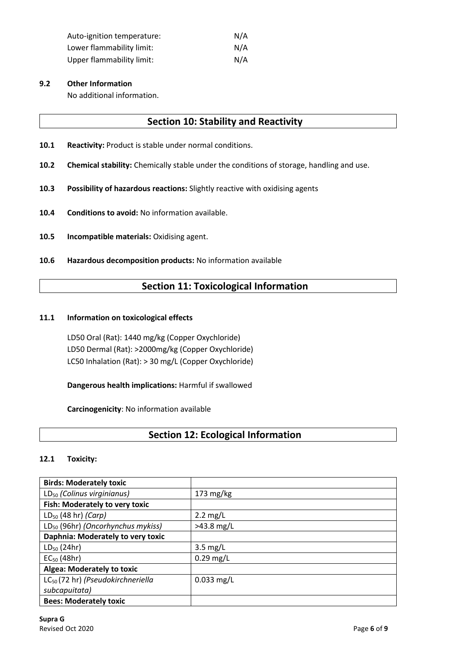| Auto-ignition temperature:       | N/A |
|----------------------------------|-----|
| Lower flammability limit:        | N/A |
| <b>Upper flammability limit:</b> | N/A |

#### **9.2 Other Information**

No additional information.

### **Section 10: Stability and Reactivity**

- **10.1 Reactivity:** Product is stable under normal conditions.
- **10.2 Chemical stability:** Chemically stable under the conditions of storage, handling and use.
- **10.3 Possibility of hazardous reactions:** Slightly reactive with oxidising agents
- **10.4 Conditions to avoid:** No information available.
- **10.5 Incompatible materials:** Oxidising agent.
- **10.6 Hazardous decomposition products:** No information available

### **Section 11: Toxicological Information**

#### **11.1 Information on toxicological effects**

LD50 Oral (Rat): 1440 mg/kg (Copper Oxychloride) LD50 Dermal (Rat): >2000mg/kg (Copper Oxychloride) LC50 Inhalation (Rat): > 30 mg/L (Copper Oxychloride)

**Dangerous health implications:** Harmful if swallowed

**Carcinogenicity**: No information available

# **Section 12: Ecological Information**

#### **12.1 Toxicity:**

| <b>Birds: Moderately toxic</b>                |                    |
|-----------------------------------------------|--------------------|
| LD <sub>50</sub> (Colinus virginianus)        | $173$ mg/kg        |
| Fish: Moderately to very toxic                |                    |
| $LD_{50}$ (48 hr) (Carp)                      | $2.2 \text{ mg/L}$ |
| LD <sub>50</sub> (96hr) (Oncorhynchus mykiss) | $>43.8$ mg/L       |
| Daphnia: Moderately to very toxic             |                    |
| $LD_{50}$ (24hr)                              | $3.5 \text{ mg/L}$ |
| $EC_{50}$ (48hr)                              | $0.29$ mg/L        |
| Algea: Moderately to toxic                    |                    |
| LC <sub>50</sub> (72 hr) (Pseudokirchneriella | $0.033$ mg/L       |
| subcapuitata)                                 |                    |
| <b>Bees: Moderately toxic</b>                 |                    |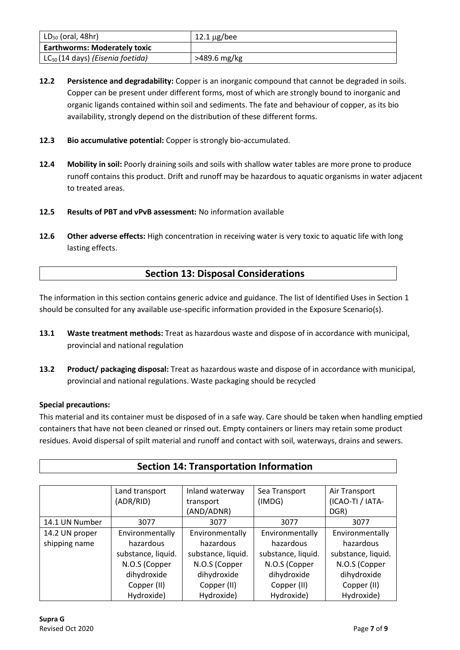| $LD_{50}$ (oral, 48hr)                | $12.1 \,\mathrm{\upmu g/bee}$ |
|---------------------------------------|-------------------------------|
| <b>Earthworms: Moderately toxic</b>   |                               |
| $LC_{50}$ (14 days) (Eisenia foetida) | >489.6 mg/kg                  |

- **12.2 Persistence and degradability:** Copper is an inorganic compound that cannot be degraded in soils. Copper can be present under different forms, most of which are strongly bound to inorganic and organic ligands contained within soil and sediments. The fate and behaviour of copper, as its bio availability, strongly depend on the distribution of these different forms.
- **12.3 Bio accumulative potential:** Copper is strongly bio-accumulated.
- **12.4 Mobility in soil:** Poorly draining soils and soils with shallow water tables are more prone to produce runoff contains this product. Drift and runoff may be hazardous to aquatic organisms in water adjacent to treated areas.
- **12.5 Results of PBT and vPvB assessment:** No information available
- **12.6 Other adverse effects:** High concentration in receiving water is very toxic to aquatic life with long lasting effects.

# **Section 13: Disposal Considerations**

The information in this section contains generic advice and guidance. The list of Identified Uses in Section 1 should be consulted for any available use-specific information provided in the Exposure Scenario(s).

- **13.1 Waste treatment methods:** Treat as hazardous waste and dispose of in accordance with municipal, provincial and national regulation
- **13.2 Product/ packaging disposal:** Treat as hazardous waste and dispose of in accordance with municipal, provincial and national regulations. Waste packaging should be recycled

#### **Special precautions:**

This material and its container must be disposed of in a safe way. Care should be taken when handling emptied containers that have not been cleaned or rinsed out. Empty containers or liners may retain some product residues. Avoid dispersal of spilt material and runoff and contact with soil, waterways, drains and sewers.

**Section 14: Transportation Information**

|                | Land transport     | Inland waterway    | Sea Transport      | Air Transport      |
|----------------|--------------------|--------------------|--------------------|--------------------|
|                | (ADR/RID)          | transport          | (IMDG)             | (ICAO-TI / IATA-   |
|                |                    | (AND/ADNR)         |                    | DGR)               |
| 14.1 UN Number | 3077               | 3077               | 3077               | 3077               |
| 14.2 UN proper | Environmentally    | Environmentally    | Environmentally    | Environmentally    |
| shipping name  | hazardous          | hazardous          | hazardous          | hazardous          |
|                | substance, liquid. | substance, liquid. | substance, liquid. | substance, liquid. |
|                | N.O.S (Copper      | N.O.S (Copper      | N.O.S (Copper      | N.O.S (Copper      |
|                | dihydroxide        | dihydroxide        | dihydroxide        | dihydroxide        |
|                | Copper (II)        | Copper (II)        | Copper (II)        | Copper (II)        |
|                | Hydroxide)         | Hydroxide)         | Hydroxide)         | Hydroxide)         |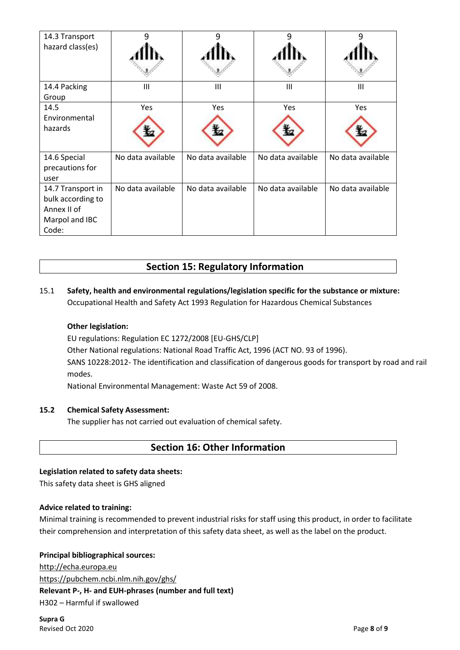| 14.3 Transport    | q                 |                   |                   |                   |
|-------------------|-------------------|-------------------|-------------------|-------------------|
| hazard class(es)  |                   |                   |                   |                   |
|                   |                   |                   |                   |                   |
| 14.4 Packing      | III               | Ш                 | III               | III               |
| Group             |                   |                   |                   |                   |
| 14.5              | Yes               | Yes               | Yes               | Yes               |
| Environmental     |                   |                   |                   |                   |
| hazards           |                   |                   |                   |                   |
| 14.6 Special      | No data available | No data available | No data available | No data available |
| precautions for   |                   |                   |                   |                   |
| user              |                   |                   |                   |                   |
| 14.7 Transport in | No data available | No data available | No data available | No data available |
| bulk according to |                   |                   |                   |                   |
| Annex II of       |                   |                   |                   |                   |
| Marpol and IBC    |                   |                   |                   |                   |
| Code:             |                   |                   |                   |                   |

# **Section 15: Regulatory Information**

### 15.1 **Safety, health and environmental regulations/legislation specific for the substance or mixture:** Occupational Health and Safety Act 1993 Regulation for Hazardous Chemical Substances

#### **Other legislation:**

EU regulations: Regulation EC 1272/2008 [EU-GHS/CLP]

Other National regulations: National Road Traffic Act, 1996 (ACT NO. 93 of 1996).

SANS 10228:2012- The identification and classification of dangerous goods for transport by road and rail modes.

National Environmental Management: Waste Act 59 of 2008.

#### **15.2 Chemical Safety Assessment:**

The supplier has not carried out evaluation of chemical safety.

### **Section 16: Other Information**

#### **Legislation related to safety data sheets:**

This safety data sheet is GHS aligned

#### **Advice related to training:**

Minimal training is recommended to prevent industrial risks for staff using this product, in order to facilitate their comprehension and interpretation of this safety data sheet, as well as the label on the product.

#### **Principal bibliographical sources:**

[http://echa.europa.eu](http://echa.europa.eu/) <https://pubchem.ncbi.nlm.nih.gov/ghs/> **Relevant P-, H- and EUH-phrases (number and full text)** H302 – Harmful if swallowed

**Supra G** Revised Oct 2020 Page **8** of **9**